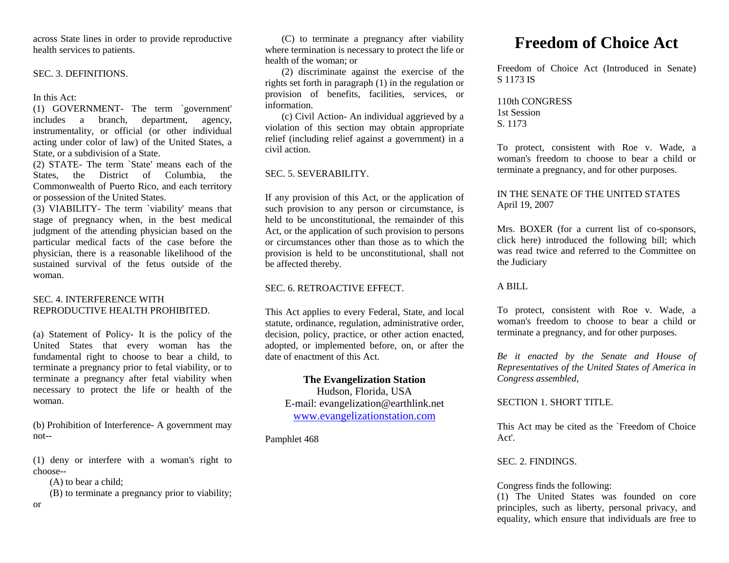across State lines in order to provide reproductive health services to patients.

#### SEC. 3. DEFINITIONS.

In this Act:

(1) GOVERNMENT- The term `government'<br>includes a branch, department, agency, includes a branch, instrumentality, or official (or other individual acting under color of law) of the United States, a State, or a subdivision of a State.

(2) STATE- The term `State' means each of the States, the District of Columbia, the Commonwealth of Puerto Rico, and each territory or possession of the United States.

(3) VIABILITY- The term `viability' means that stage of pregnancy when, in the best medical judgment of the attending physician based on the particular medical facts of the case before the physician, there is a reasonable likelihood of the sustained survival of the fetus outside of the woman.

#### SEC. 4. INTERFERENCE WITH REPRODUCTIVE HEALTH PROHIBITED.

(a) Statement of Policy- It is the policy of the United States that every woman has the fundamental right to choose to bear a child, to terminate a pregnancy prior to fetal viability, or to terminate a pregnancy after fetal viability when necessary to protect the life or health of the woman.

(b) Prohibition of Interference- A government may not--

(1) deny or interfere with a woman's right to choose--

(A) to bear a child;

(B) to terminate a pregnancy prior to viability;

or

(C) to terminate a pregnancy after viability where termination is necessary to protect the life or health of the woman; or

(2) discriminate against the exercise of the rights set forth in paragraph (1) in the regulation or provision of benefits, facilities, services, or information.

(c) Civil Action- An individual aggrieved by a violation of this section may obtain appropriate relief (including relief against a government) in a civil action.

## SEC. 5. SEVERABILITY

If any provision of this Act, or the application of such provision to any person or circumstance, is held to be unconstitutional, the remainder of this Act, or the application of such provision to persons or circumstances other than those as to which the provision is held to be unconstitutional, shall not be affected thereby.

## SEC. 6. RETROACTIVE EFFECT.

This Act applies to every Federal, State, and local statute, ordinance, regulation, administrative order, decision, policy, practice, or other action enacted, adopted, or implemented before, on, or after the date of enactment of this Act.

# **The Evangelization Station**

Hudson, Florida, USA E-mail: evangelization@earthlink.net [www.evangelizationstation.com](http://www.pjpiisoe.org/)

Pamphlet 468

# **Freedom of Choice Act**

Freedom of Choice Act (Introduced in Senate) S 1173 IS

# 110th CONGRESS 1st Session S. 1173

To protect, consistent with Roe v. Wade, a woman's freedom to choose to bear a child or terminate a pregnancy, and for other purposes.

# IN THE SENATE OF THE UNITED STATES April 19, 2007

Mrs. BOXER (for a current list of co-sponsors, click here) introduced the following bill; which was read twice and referred to the Committee on the Judiciary

## A BILL

To protect, consistent with Roe v. Wade, a woman's freedom to choose to bear a child or terminate a pregnancy, and for other purposes.

*Be it enacted by the Senate and House of Representatives of the United States of America in Congress assembled,*

# SECTION 1. SHORT TITLE.

This Act may be cited as the `Freedom of Choice Act'.

## SEC. 2. FINDINGS.

# Congress finds the following:

(1) The United States was founded on core principles, such as liberty, personal privacy, and equality, which ensure that individuals are free to